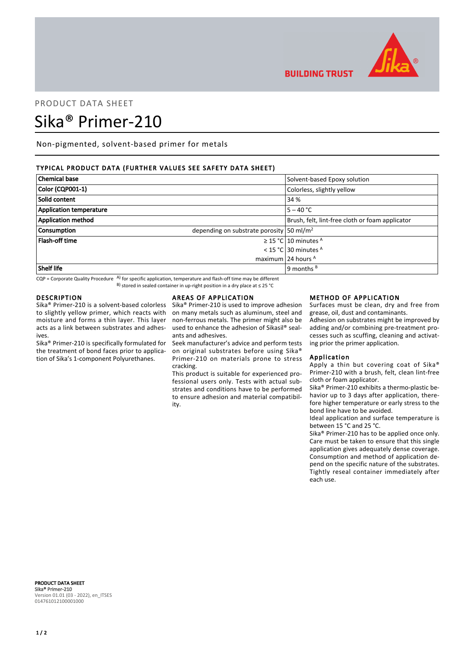

# PRODUCT DATA SHEET Sika® Primer-210

Non-pigmented, solvent-based primer for metals

# TYPICAL PRODUCT DATA (FURTHER VALUES SEE SAFETY DATA SHEET)

| <b>Chemical base</b>           | Solvent-based Epoxy solution                             |
|--------------------------------|----------------------------------------------------------|
| Color (CQP001-1)               | Colorless, slightly yellow                               |
| Solid content                  | 34 %                                                     |
| <b>Application temperature</b> | $5 - 40 °C$                                              |
| <b>Application method</b>      | Brush, felt, lint-free cloth or foam applicator          |
| <b>Consumption</b>             | depending on substrate porosity $\frac{50 \text{ m}}{2}$ |
| <b>Flash-off time</b>          | $\geq$ 15 °C 10 minutes <sup>A</sup>                     |
|                                | < 15 °C 30 minutes $A$                                   |
|                                | maximum 24 hours $A$                                     |
| Shelf life                     | 9 months $B$                                             |

 $CQP$  = Corporate Quality Procedure  $AP$  for specific application, temperature and flash-off time may be different B) stored in sealed container in up-right position in a dry place at ≤ 25 °C

## DESCRIPTION

Sika® Primer-210 is a solvent-based colorless to slightly yellow primer, which reacts with moisture and forms a thin layer. This layer acts as a link between substrates and adhesives.

Sika® Primer-210 is specifically formulated for the treatment of bond faces prior to application of Sika's 1-component Polyurethanes.

## AREAS OF APPLICATION

Sika® Primer-210 is used to improve adhesion on many metals such as aluminum, steel and non-ferrous metals. The primer might also be used to enhance the adhesion of Sikasil® sealants and adhesives.

Seek manufacturer's advice and perform tests on original substrates before using Sika® Primer-210 on materials prone to stress cracking.

This product is suitable for experienced professional users only. Tests with actual substrates and conditions have to be performed to ensure adhesion and material compatibility.

#### METHOD OF APPLICATION

Surfaces must be clean, dry and free from grease, oil, dust and contaminants.

Adhesion on substrates might be improved by adding and/or combining pre-treatment processes such as scuffing, cleaning and activating prior the primer application.

## Application

**BUILDING TRUST** 

Apply a thin but covering coat of Sika® Primer-210 with a brush, felt, clean lint-free cloth or foam applicator.

Sika® Primer-210 exhibits a thermo-plastic behavior up to 3 days after application, therefore higher temperature or early stress to the bond line have to be avoided.

Ideal application and surface temperature is between 15 °C and 25 °C.

Sika® Primer-210 has to be applied once only. Care must be taken to ensure that this single application gives adequately dense coverage. Consumption and method of application depend on the specific nature of the substrates. Tightly reseal container immediately after each use.

PRODUCT DATA SHEET Sika® Primer-210 Version 01.01 (03 - 2022), en\_ITSES 014761012100001000